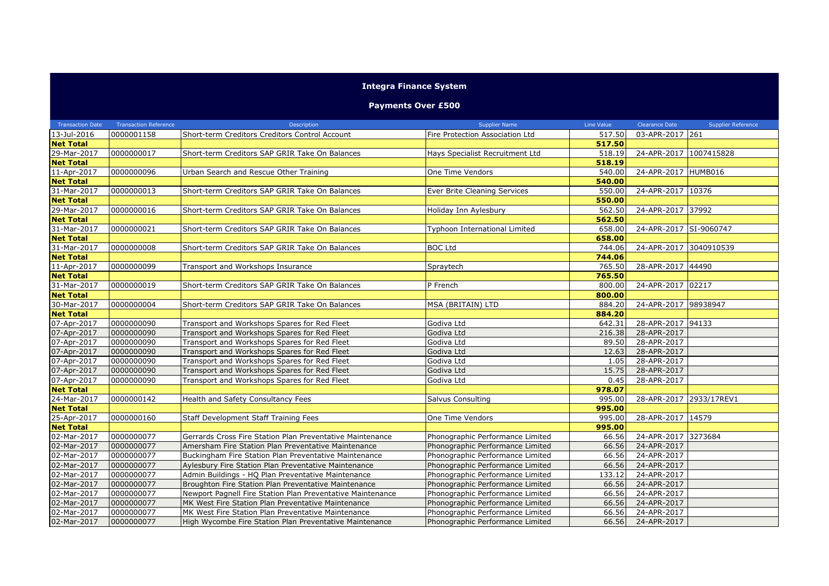## **Integra Finance System**

**Payments Over £500**

| <b>Transaction Date</b> | <b>Transaction Reference</b> | Description                                                | <b>Supplier Name</b>             | Line Value | <b>Clearance Date</b>   | <b>Supplier Reference</b> |
|-------------------------|------------------------------|------------------------------------------------------------|----------------------------------|------------|-------------------------|---------------------------|
| 13-Jul-2016             | 0000001158                   | Short-term Creditors Creditors Control Account             | Fire Protection Association Ltd  | 517.50     | 03-APR-2017 261         |                           |
| <b>Net Total</b>        |                              |                                                            |                                  | 517.50     |                         |                           |
| 29-Mar-2017             | 0000000017                   | Short-term Creditors SAP GRIR Take On Balances             | Hays Specialist Recruitment Ltd  | 518.19     | 24-APR-2017 1007415828  |                           |
| <b>Net Total</b>        |                              |                                                            |                                  | 518.19     |                         |                           |
| 11-Apr-2017             | 0000000096                   | Urban Search and Rescue Other Training                     | One Time Vendors                 | 540.00     | 24-APR-2017 HUMB016     |                           |
| <b>Net Total</b>        |                              |                                                            |                                  | 540.00     |                         |                           |
| 31-Mar-2017             | 0000000013                   | Short-term Creditors SAP GRIR Take On Balances             | Ever Brite Cleaning Services     | 550.00     | 24-APR-2017 10376       |                           |
| <b>Net Total</b>        |                              |                                                            |                                  | 550.00     |                         |                           |
| 29-Mar-2017             | 0000000016                   | Short-term Creditors SAP GRIR Take On Balances             | Holiday Inn Aylesbury            | 562.50     | 24-APR-2017 37992       |                           |
| <b>Net Total</b>        |                              |                                                            |                                  | 562.50     |                         |                           |
| 31-Mar-2017             | 0000000021                   | Short-term Creditors SAP GRIR Take On Balances             | Typhoon International Limited    | 658.00     | 24-APR-2017 SI-9060747  |                           |
| <b>Net Total</b>        |                              |                                                            |                                  | 658.00     |                         |                           |
| 31-Mar-2017             | 0000000008                   | Short-term Creditors SAP GRIR Take On Balances             | <b>BOC Ltd</b>                   | 744.06     | 24-APR-2017 3040910539  |                           |
| <b>Net Total</b>        |                              |                                                            |                                  | 744.06     |                         |                           |
| 11-Apr-2017             | 0000000099                   | Transport and Workshops Insurance                          | Spraytech                        | 765.50     | 28-APR-2017 44490       |                           |
| <b>Net Total</b>        |                              |                                                            |                                  | 765.50     |                         |                           |
| 31-Mar-2017             | 0000000019                   | Short-term Creditors SAP GRIR Take On Balances             | P French                         | 800.00     | 24-APR-2017 02217       |                           |
| <b>Net Total</b>        |                              |                                                            |                                  | 800.00     |                         |                           |
| 30-Mar-2017             | 0000000004                   | Short-term Creditors SAP GRIR Take On Balances             | MSA (BRITAIN) LTD                | 884.20     | 24-APR-2017 98938947    |                           |
| <b>Net Total</b>        |                              |                                                            |                                  | 884.20     |                         |                           |
| 07-Apr-2017             | 0000000090                   | Transport and Workshops Spares for Red Fleet               | Godiva Ltd                       | 642.31     | 28-APR-2017 94133       |                           |
| 07-Apr-2017             | 0000000090                   | Transport and Workshops Spares for Red Fleet               | Godiva Ltd                       | 216.38     | 28-APR-2017             |                           |
| 07-Apr-2017             | 0000000090                   | Transport and Workshops Spares for Red Fleet               | Godiva Ltd                       | 89.50      | 28-APR-2017             |                           |
| 07-Apr-2017             | 0000000090                   | Transport and Workshops Spares for Red Fleet               | Godiva Ltd                       | 12.63      | 28-APR-2017             |                           |
| 07-Apr-2017             | 0000000090                   | Transport and Workshops Spares for Red Fleet               | Godiva Ltd                       | 1.05       | 28-APR-2017             |                           |
| 07-Apr-2017             | 0000000090                   | Transport and Workshops Spares for Red Fleet               | Godiva Ltd                       | 15.75      | 28-APR-2017             |                           |
| 07-Apr-2017             | 0000000090                   | Transport and Workshops Spares for Red Fleet               | Godiva Ltd                       | 0.45       | 28-APR-2017             |                           |
| <b>Net Total</b>        |                              |                                                            |                                  | 978.07     |                         |                           |
| 24-Mar-2017             | 0000000142                   | Health and Safety Consultancy Fees                         | Salvus Consulting                | 995.00     | 28-APR-2017 2933/17REV1 |                           |
| <b>Net Total</b>        |                              |                                                            |                                  | 995.00     |                         |                           |
| 25-Apr-2017             | 0000000160                   | Staff Development Staff Training Fees                      | One Time Vendors                 | 995.00     | 28-APR-2017 14579       |                           |
| <b>Net Total</b>        |                              |                                                            |                                  | 995.00     |                         |                           |
| 02-Mar-2017             | 0000000077                   | Gerrards Cross Fire Station Plan Preventative Maintenance  | Phonographic Performance Limited | 66.56      | 24-APR-2017 3273684     |                           |
| 02-Mar-2017             | 0000000077                   | Amersham Fire Station Plan Preventative Maintenance        | Phonographic Performance Limited | 66.56      | 24-APR-2017             |                           |
| 02-Mar-2017             | 0000000077                   | Buckingham Fire Station Plan Preventative Maintenance      | Phonographic Performance Limited | 66.56      | 24-APR-2017             |                           |
| 02-Mar-2017             | 0000000077                   | Aylesbury Fire Station Plan Preventative Maintenance       | Phonographic Performance Limited | 66.56      | 24-APR-2017             |                           |
| 02-Mar-2017             | 0000000077                   | Admin Buildings - HQ Plan Preventative Maintenance         | Phonographic Performance Limited | 133.12     | 24-APR-2017             |                           |
| 02-Mar-2017             | 0000000077                   | Broughton Fire Station Plan Preventative Maintenance       | Phonographic Performance Limited | 66.56      | 24-APR-2017             |                           |
| 02-Mar-2017             | 0000000077                   | Newport Pagnell Fire Station Plan Preventative Maintenance | Phonographic Performance Limited | 66.56      | 24-APR-2017             |                           |
| 02-Mar-2017             | 0000000077                   | MK West Fire Station Plan Preventative Maintenance         | Phonographic Performance Limited | 66.56      | 24-APR-2017             |                           |
| 02-Mar-2017             | 0000000077                   | MK West Fire Station Plan Preventative Maintenance         | Phonographic Performance Limited | 66.56      | 24-APR-2017             |                           |
| 02-Mar-2017             | 0000000077                   | High Wycombe Fire Station Plan Preventative Maintenance    | Phonographic Performance Limited | 66.56      | 24-APR-2017             |                           |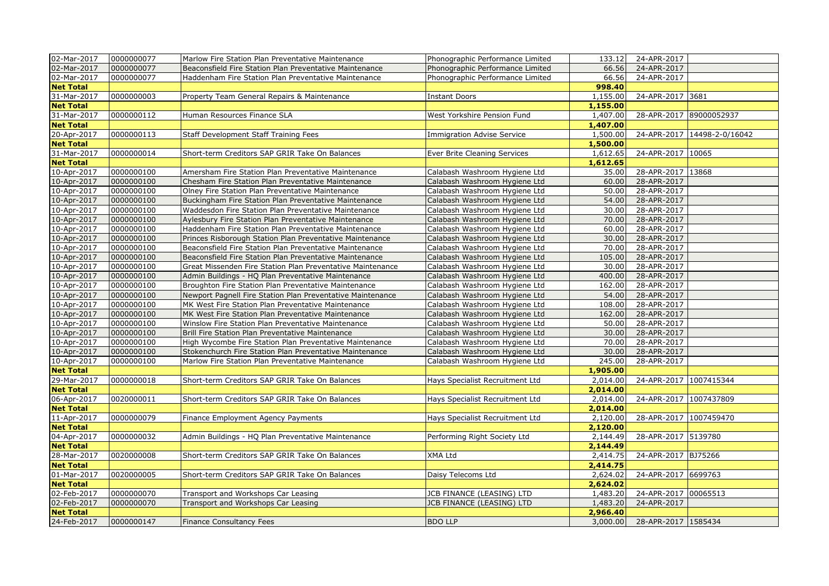| 02-Mar-2017      | 0000000077 | Marlow Fire Station Plan Preventative Maintenance          | Phonographic Performance Limited  | 133.12   | 24-APR-2017             |                             |
|------------------|------------|------------------------------------------------------------|-----------------------------------|----------|-------------------------|-----------------------------|
| 02-Mar-2017      | 0000000077 | Beaconsfield Fire Station Plan Preventative Maintenance    | Phonographic Performance Limited  | 66.56    | 24-APR-2017             |                             |
| 02-Mar-2017      | 0000000077 | Haddenham Fire Station Plan Preventative Maintenance       | Phonographic Performance Limited  | 66.56    | 24-APR-2017             |                             |
| <b>Net Total</b> |            |                                                            |                                   | 998.40   |                         |                             |
| 31-Mar-2017      | 0000000003 | Property Team General Repairs & Maintenance                | <b>Instant Doors</b>              | 1,155.00 | 24-APR-2017 3681        |                             |
| <b>Net Total</b> |            |                                                            |                                   | 1,155.00 |                         |                             |
| 31-Mar-2017      | 0000000112 | Human Resources Finance SLA                                | West Yorkshire Pension Fund       | 1,407.00 | 28-APR-2017 89000052937 |                             |
| <b>Net Total</b> |            |                                                            |                                   | 1,407.00 |                         |                             |
| 20-Apr-2017      | 0000000113 | Staff Development Staff Training Fees                      | <b>Immigration Advise Service</b> | 1,500.00 |                         | 24-APR-2017 14498-2-0/16042 |
| <b>Net Total</b> |            |                                                            |                                   | 1,500.00 |                         |                             |
| 31-Mar-2017      | 0000000014 | Short-term Creditors SAP GRIR Take On Balances             | Ever Brite Cleaning Services      | 1,612.65 | 24-APR-2017 10065       |                             |
| <b>Net Total</b> |            |                                                            |                                   | 1,612.65 |                         |                             |
| 10-Apr-2017      | 0000000100 | Amersham Fire Station Plan Preventative Maintenance        | Calabash Washroom Hygiene Ltd     | 35.00    | 28-APR-2017 13868       |                             |
| 10-Apr-2017      | 0000000100 | Chesham Fire Station Plan Preventative Maintenance         | Calabash Washroom Hygiene Ltd     | 60.00    | 28-APR-2017             |                             |
| 10-Apr-2017      | 0000000100 | Olney Fire Station Plan Preventative Maintenance           | Calabash Washroom Hygiene Ltd     | 50.00    | 28-APR-2017             |                             |
| 10-Apr-2017      | 0000000100 | Buckingham Fire Station Plan Preventative Maintenance      | Calabash Washroom Hygiene Ltd     | 54.00    | 28-APR-2017             |                             |
| 10-Apr-2017      | 0000000100 | Waddesdon Fire Station Plan Preventative Maintenance       | Calabash Washroom Hygiene Ltd     | 30.00    | 28-APR-2017             |                             |
| 10-Apr-2017      | 0000000100 | Aylesbury Fire Station Plan Preventative Maintenance       | Calabash Washroom Hygiene Ltd     | 70.00    | 28-APR-2017             |                             |
| 10-Apr-2017      | 0000000100 | Haddenham Fire Station Plan Preventative Maintenance       | Calabash Washroom Hygiene Ltd     | 60.00    | 28-APR-2017             |                             |
| 10-Apr-2017      | 0000000100 | Princes Risborough Station Plan Preventative Maintenance   | Calabash Washroom Hygiene Ltd     | 30.00    | 28-APR-2017             |                             |
| 10-Apr-2017      | 0000000100 | Beaconsfield Fire Station Plan Preventative Maintenance    | Calabash Washroom Hygiene Ltd     | 70.00    | 28-APR-2017             |                             |
| 10-Apr-2017      | 0000000100 | Beaconsfield Fire Station Plan Preventative Maintenance    | Calabash Washroom Hygiene Ltd     | 105.00   | 28-APR-2017             |                             |
| 10-Apr-2017      | 0000000100 | Great Missenden Fire Station Plan Preventative Maintenance | Calabash Washroom Hygiene Ltd     | 30.00    | 28-APR-2017             |                             |
| 10-Apr-2017      | 0000000100 | Admin Buildings - HQ Plan Preventative Maintenance         | Calabash Washroom Hygiene Ltd     | 400.00   | 28-APR-2017             |                             |
| 10-Apr-2017      | 0000000100 | Broughton Fire Station Plan Preventative Maintenance       | Calabash Washroom Hygiene Ltd     | 162.00   | 28-APR-2017             |                             |
| 10-Apr-2017      | 0000000100 | Newport Pagnell Fire Station Plan Preventative Maintenance | Calabash Washroom Hygiene Ltd     | 54.00    | 28-APR-2017             |                             |
| 10-Apr-2017      | 0000000100 | MK West Fire Station Plan Preventative Maintenance         | Calabash Washroom Hygiene Ltd     | 108.00   | 28-APR-2017             |                             |
| 10-Apr-2017      | 0000000100 | MK West Fire Station Plan Preventative Maintenance         | Calabash Washroom Hygiene Ltd     | 162.00   | 28-APR-2017             |                             |
| 10-Apr-2017      | 0000000100 | Winslow Fire Station Plan Preventative Maintenance         | Calabash Washroom Hygiene Ltd     | 50.00    | 28-APR-2017             |                             |
| 10-Apr-2017      | 0000000100 | Brill Fire Station Plan Preventative Maintenance           | Calabash Washroom Hygiene Ltd     | 30.00    | 28-APR-2017             |                             |
| 10-Apr-2017      | 0000000100 | High Wycombe Fire Station Plan Preventative Maintenance    | Calabash Washroom Hygiene Ltd     | 70.00    | 28-APR-2017             |                             |
| 10-Apr-2017      | 0000000100 | Stokenchurch Fire Station Plan Preventative Maintenance    | Calabash Washroom Hygiene Ltd     | 30.00    | 28-APR-2017             |                             |
| 10-Apr-2017      | 0000000100 | Marlow Fire Station Plan Preventative Maintenance          | Calabash Washroom Hygiene Ltd     | 245.00   | 28-APR-2017             |                             |
| <b>Net Total</b> |            |                                                            |                                   | 1,905.00 |                         |                             |
| 29-Mar-2017      | 0000000018 | Short-term Creditors SAP GRIR Take On Balances             | Hays Specialist Recruitment Ltd   | 2,014.00 | 24-APR-2017 1007415344  |                             |
| <b>Net Total</b> |            |                                                            |                                   | 2,014.00 |                         |                             |
| 06-Apr-2017      | 0020000011 | Short-term Creditors SAP GRIR Take On Balances             | Hays Specialist Recruitment Ltd   | 2,014.00 | 24-APR-2017 1007437809  |                             |
| <b>Net Total</b> |            |                                                            |                                   | 2,014.00 |                         |                             |
| 11-Apr-2017      | 0000000079 | Finance Employment Agency Payments                         | Hays Specialist Recruitment Ltd   | 2,120.00 | 28-APR-2017 1007459470  |                             |
| <b>Net Total</b> |            |                                                            |                                   | 2,120.00 |                         |                             |
| 04-Apr-2017      | 0000000032 | Admin Buildings - HQ Plan Preventative Maintenance         | Performing Right Society Ltd      | 2,144.49 | 28-APR-2017 5139780     |                             |
| <b>Net Total</b> |            |                                                            |                                   | 2,144.49 |                         |                             |
| 28-Mar-2017      | 0020000008 | Short-term Creditors SAP GRIR Take On Balances             | XMA Ltd                           | 2,414.75 | 24-APR-2017 BJ75266     |                             |
| <b>Net Total</b> |            |                                                            |                                   | 2,414.75 |                         |                             |
| 01-Mar-2017      | 0020000005 | Short-term Creditors SAP GRIR Take On Balances             | Daisy Telecoms Ltd                | 2,624.02 | 24-APR-2017 6699763     |                             |
| <b>Net Total</b> |            |                                                            |                                   | 2,624.02 |                         |                             |
| 02-Feb-2017      | 0000000070 | Transport and Workshops Car Leasing                        | JCB FINANCE (LEASING) LTD         | 1,483.20 | 24-APR-2017 00065513    |                             |
| 02-Feb-2017      | 0000000070 | Transport and Workshops Car Leasing                        | <b>JCB FINANCE (LEASING) LTD</b>  | 1,483.20 | 24-APR-2017             |                             |
| <b>Net Total</b> |            |                                                            |                                   | 2,966.40 |                         |                             |
| 24-Feb-2017      | 0000000147 | <b>Finance Consultancy Fees</b>                            | <b>BDO LLP</b>                    | 3,000.00 | 28-APR-2017 1585434     |                             |